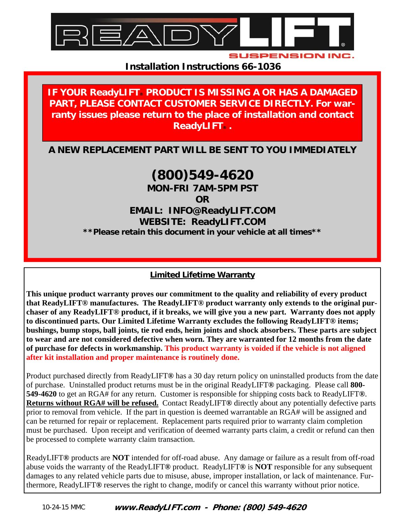

**SUSPENSION INC** 

**Installation Instructions 66-1036** 

#### **IF YOUR ReadyLIFT PRODUCT IS MISSING A OR HAS A DAMAGED PART, PLEASE CONTACT CUSTOMER SERVICE DIRECTLY. For warranty issues please return to the place of installation and contact ReadyLIFT® .**

**A NEW REPLACEMENT PART WILL BE SENT TO YOU IMMEDIATELY** 

# **(800)549-4620**

**MON-FRI 7AM-5PM PST** 

**OR** 

**EMAIL: INFO@ReadyLIFT.COM WEBSITE: ReadyLIFT.COM \*\*Please retain this document in your vehicle at all times\*\*** 

#### **Limited Lifetime Warranty**

**This unique product warranty proves our commitment to the quality and reliability of every product that ReadyLIFT® manufactures. The ReadyLIFT® product warranty only extends to the original purchaser of any ReadyLIFT® product, if it breaks, we will give you a new part. Warranty does not apply to discontinued parts. Our Limited Lifetime Warranty excludes the following ReadyLIFT® items; bushings, bump stops, ball joints, tie rod ends, heim joints and shock absorbers. These parts are subject to wear and are not considered defective when worn. They are warranted for 12 months from the date of purchase for defects in workmanship. This product warranty is voided if the vehicle is not aligned after kit installation and proper maintenance is routinely done.** 

Product purchased directly from ReadyLIFT**®** has a 30 day return policy on uninstalled products from the date of purchase. Uninstalled product returns must be in the original ReadyLIFT**®** packaging. Please call **800- 549-4620** to get an RGA# for any return. Customer is responsible for shipping costs back to ReadyLIFT**®**. **Returns without RGA# will be refused.** Contact ReadyLIFT**®** directly about any potentially defective parts prior to removal from vehicle. If the part in question is deemed warrantable an RGA# will be assigned and can be returned for repair or replacement. Replacement parts required prior to warranty claim completion must be purchased. Upon receipt and verification of deemed warranty parts claim, a credit or refund can then be processed to complete warranty claim transaction.

ReadyLIFT**®** products are **NOT** intended for off-road abuse. Any damage or failure as a result from off-road abuse voids the warranty of the ReadyLIFT**®** product. ReadyLIFT**®** is **NOT** responsible for any subsequent damages to any related vehicle parts due to misuse, abuse, improper installation, or lack of maintenance. Furthermore, ReadyLIFT**®** reserves the right to change, modify or cancel this warranty without prior notice.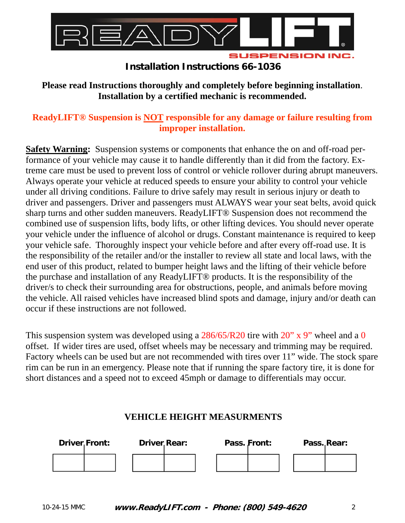

**Please read Instructions thoroughly and completely before beginning installation**. **Installation by a certified mechanic is recommended.** 

#### **ReadyLIFT® Suspension is NOT responsible for any damage or failure resulting from improper installation.**

**Safety Warning:** Suspension systems or components that enhance the on and off-road performance of your vehicle may cause it to handle differently than it did from the factory. Extreme care must be used to prevent loss of control or vehicle rollover during abrupt maneuvers. Always operate your vehicle at reduced speeds to ensure your ability to control your vehicle under all driving conditions. Failure to drive safely may result in serious injury or death to driver and passengers. Driver and passengers must ALWAYS wear your seat belts, avoid quick sharp turns and other sudden maneuvers. ReadyLIFT® Suspension does not recommend the combined use of suspension lifts, body lifts, or other lifting devices. You should never operate your vehicle under the influence of alcohol or drugs. Constant maintenance is required to keep your vehicle safe. Thoroughly inspect your vehicle before and after every off-road use. It is the responsibility of the retailer and/or the installer to review all state and local laws, with the end user of this product, related to bumper height laws and the lifting of their vehicle before the purchase and installation of any ReadyLIFT® products. It is the responsibility of the driver/s to check their surrounding area for obstructions, people, and animals before moving the vehicle. All raised vehicles have increased blind spots and damage, injury and/or death can occur if these instructions are not followed.

This suspension system was developed using a  $286/65/R20$  tire with  $20''$  x 9" wheel and a 0 offset. If wider tires are used, offset wheels may be necessary and trimming may be required. Factory wheels can be used but are not recommended with tires over 11" wide. The stock spare rim can be run in an emergency. Please note that if running the spare factory tire, it is done for short distances and a speed not to exceed 45mph or damage to differentials may occur.

#### **VEHICLE HEIGHT MEASURMENTS**

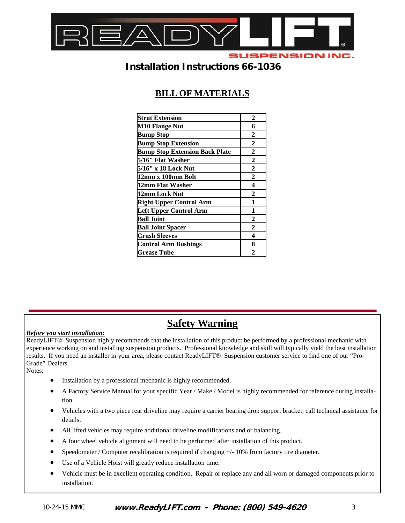

### **BILL OF MATERIALS**

| <b>Strut Extension</b>                | 2              |
|---------------------------------------|----------------|
| <b>M10 Flange Nut</b>                 | 6              |
| <b>Bump Stop</b>                      | 2              |
| <b>Bump Stop Extension</b>            | $\overline{2}$ |
| <b>Bump Stop Extension Back Plate</b> | $\mathbf{2}$   |
| 5/16" Flat Washer                     | $\overline{2}$ |
| 5/16" x 18 Lock Nut                   | 2              |
| 12mm x 100mm Bolt                     | $\overline{2}$ |
| 12mm Flat Washer                      | 4              |
| 12mm Lock Nut                         | $\overline{2}$ |
| <b>Right Upper Control Arm</b>        | 1              |
| <b>Left Upper Control Arm</b>         | 1              |
| <b>Ball Joint</b>                     | 2              |
| <b>Ball Joint Spacer</b>              | $\mathbf{2}$   |
| <b>Crush Sleeves</b>                  | 4              |
| <b>Control Arm Bushings</b>           | 8              |
| <b>Grease Tube</b>                    | $\mathbf 2$    |

## **Safety Warning**

#### *Before you start installation:*

ReadyLIFT® Suspension highly recommends that the installation of this product be performed by a professional mechanic with experience working on and installing suspension products. Professional knowledge and skill will typically yield the best installation results. If you need an installer in your area, please contact ReadyLIFT® Suspension customer service to find one of our "Pro-Grade" Dealers.

Notes:

- Installation by a professional mechanic is highly recommended.
- A Factory Service Manual for your specific Year / Make / Model is highly recommended for reference during installation.
- Vehicles with a two piece rear driveline may require a carrier bearing drop support bracket, call technical assistance for details.
- All lifted vehicles may require additional driveline modifications and or balancing.
- A four wheel vehicle alignment will need to be performed after installation of this product.
- Speedometer / Computer recalibration is required if changing +/- 10% from factory tire diameter.
- Use of a Vehicle Hoist will greatly reduce installation time.
- Vehicle must be in excellent operating condition. Repair or replace any and all worn or damaged components prior to installation.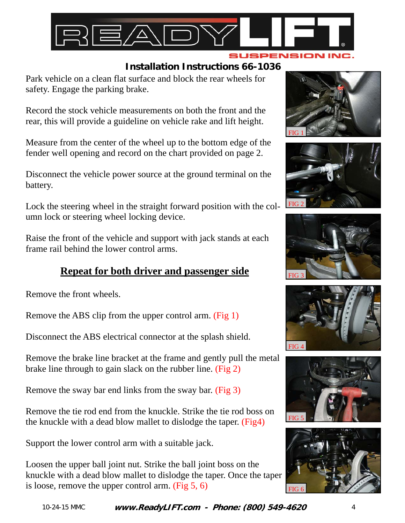

Park vehicle on a clean flat surface and block the rear wheels for safety. Engage the parking brake.

Record the stock vehicle measurements on both the front and the rear, this will provide a guideline on vehicle rake and lift height.

Measure from the center of the wheel up to the bottom edge of the fender well opening and record on the chart provided on page 2.

Disconnect the vehicle power source at the ground terminal on the battery.

Lock the steering wheel in the straight forward position with the column lock or steering wheel locking device.

Raise the front of the vehicle and support with jack stands at each frame rail behind the lower control arms.

# **Repeat for both driver and passenger side**

Remove the front wheels.

Remove the ABS clip from the upper control arm. (Fig 1)

Disconnect the ABS electrical connector at the splash shield.

Remove the brake line bracket at the frame and gently pull the metal brake line through to gain slack on the rubber line. (Fig 2)

Remove the sway bar end links from the sway bar. (Fig 3)

Remove the tie rod end from the knuckle. Strike the tie rod boss on the knuckle with a dead blow mallet to dislodge the taper. (Fig4)

Support the lower control arm with a suitable jack.

Loosen the upper ball joint nut. Strike the ball joint boss on the knuckle with a dead blow mallet to dislodge the taper. Once the taper is loose, remove the upper control arm. (Fig 5, 6)











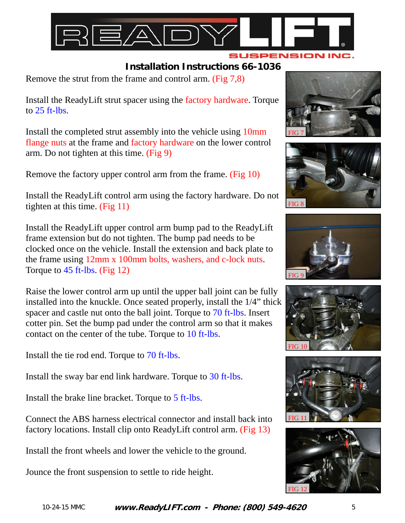

Remove the strut from the frame and control arm. (Fig 7,8)

Install the ReadyLift strut spacer using the factory hardware. Torque to  $25$  ft-lbs.

Install the completed strut assembly into the vehicle using 10mm flange nuts at the frame and factory hardware on the lower control arm. Do not tighten at this time. (Fig 9)

Remove the factory upper control arm from the frame. (Fig 10)

Install the ReadyLift control arm using the factory hardware. Do not tighten at this time. (Fig 11)

Install the ReadyLift upper control arm bump pad to the ReadyLift frame extension but do not tighten. The bump pad needs to be clocked once on the vehicle. Install the extension and back plate to the frame using 12mm x 100mm bolts, washers, and c-lock nuts. Torque to 45 ft-lbs. (Fig 12)

Raise the lower control arm up until the upper ball joint can be fully installed into the knuckle. Once seated properly, install the 1/4" thick spacer and castle nut onto the ball joint. Torque to 70 ft-lbs. Insert cotter pin. Set the bump pad under the control arm so that it makes contact on the center of the tube. Torque to 10 ft-lbs.

Install the tie rod end. Torque to 70 ft-lbs.

Install the sway bar end link hardware. Torque to 30 ft-lbs.

Install the brake line bracket. Torque to 5 ft-lbs.

Connect the ABS harness electrical connector and install back into factory locations. Install clip onto ReadyLift control arm. (Fig 13)

Install the front wheels and lower the vehicle to the ground.

Jounce the front suspension to settle to ride height.













**www.ReadyLIFT.com - Phone: (800) 549-4620**  10-24-15 MMC 5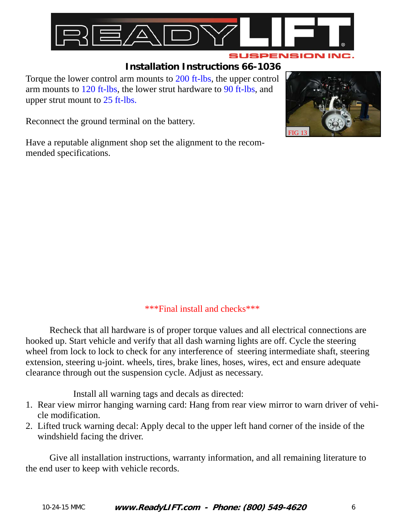

Torque the lower control arm mounts to 200 ft-lbs, the upper control arm mounts to 120 ft-lbs, the lower strut hardware to 90 ft-lbs, and upper strut mount to 25 ft-lbs.

Reconnect the ground terminal on the battery.

Have a reputable alignment shop set the alignment to the recommended specifications.



#### \*\*\*Final install and checks\*\*\*

 Recheck that all hardware is of proper torque values and all electrical connections are hooked up. Start vehicle and verify that all dash warning lights are off. Cycle the steering wheel from lock to lock to check for any interference of steering intermediate shaft, steering extension, steering u-joint. wheels, tires, brake lines, hoses, wires, ect and ensure adequate clearance through out the suspension cycle. Adjust as necessary.

Install all warning tags and decals as directed:

- 1. Rear view mirror hanging warning card: Hang from rear view mirror to warn driver of vehicle modification.
- 2. Lifted truck warning decal: Apply decal to the upper left hand corner of the inside of the windshield facing the driver.

 Give all installation instructions, warranty information, and all remaining literature to the end user to keep with vehicle records.